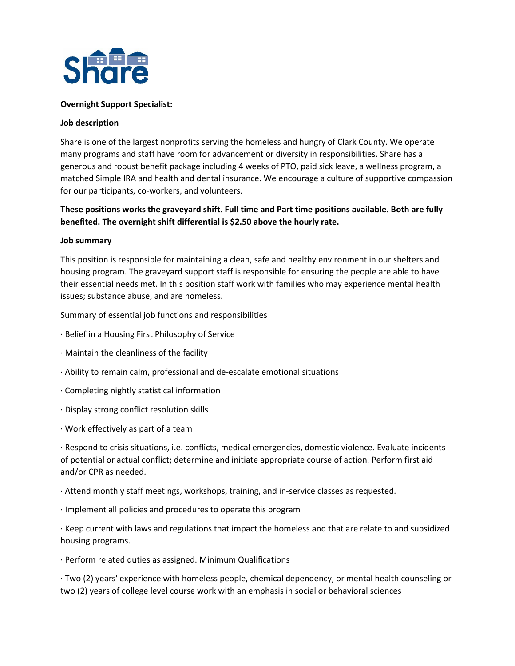

## **Overnight Support Specialist:**

## **Job description**

Share is one of the largest nonprofits serving the homeless and hungry of Clark County. We operate many programs and staff have room for advancement or diversity in responsibilities. Share has a generous and robust benefit package including 4 weeks of PTO, paid sick leave, a wellness program, a matched Simple IRA and health and dental insurance. We encourage a culture of supportive compassion for our participants, co-workers, and volunteers.

## **These positions works the graveyard shift. Full time and Part time positions available. Both are fully benefited. The overnight shift differential is \$2.50 above the hourly rate.**

## **Job summary**

This position is responsible for maintaining a clean, safe and healthy environment in our shelters and housing program. The graveyard support staff is responsible for ensuring the people are able to have their essential needs met. In this position staff work with families who may experience mental health issues; substance abuse, and are homeless.

Summary of essential job functions and responsibilities

- · Belief in a Housing First Philosophy of Service
- · Maintain the cleanliness of the facility
- · Ability to remain calm, professional and de-escalate emotional situations
- · Completing nightly statistical information
- · Display strong conflict resolution skills
- · Work effectively as part of a team

· Respond to crisis situations, i.e. conflicts, medical emergencies, domestic violence. Evaluate incidents of potential or actual conflict; determine and initiate appropriate course of action. Perform first aid and/or CPR as needed.

· Attend monthly staff meetings, workshops, training, and in-service classes as requested.

· Implement all policies and procedures to operate this program

· Keep current with laws and regulations that impact the homeless and that are relate to and subsidized housing programs.

· Perform related duties as assigned. Minimum Qualifications

· Two (2) years' experience with homeless people, chemical dependency, or mental health counseling or two (2) years of college level course work with an emphasis in social or behavioral sciences